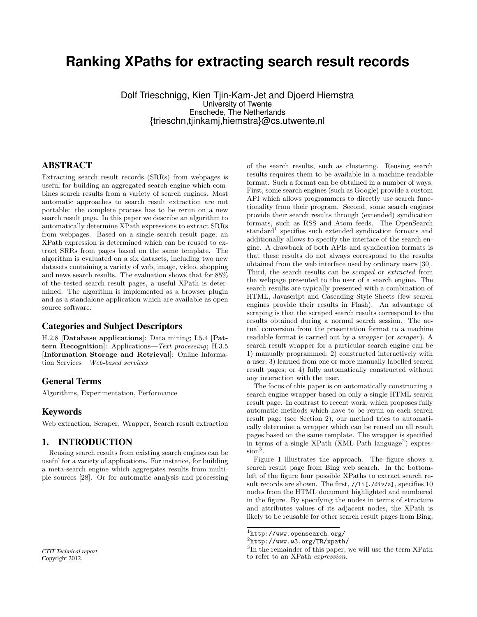# **Ranking XPaths for extracting search result records**

Dolf Trieschnigg, Kien Tjin-Kam-Jet and Djoerd Hiemstra University of Twente Enschede, The Netherlands {trieschn,tjinkamj,hiemstra}@cs.utwente.nl

# ABSTRACT

Extracting search result records (SRRs) from webpages is useful for building an aggregated search engine which combines search results from a variety of search engines. Most automatic approaches to search result extraction are not portable: the complete process has to be rerun on a new search result page. In this paper we describe an algorithm to automatically determine XPath expressions to extract SRRs from webpages. Based on a single search result page, an XPath expression is determined which can be reused to extract SRRs from pages based on the same template. The algorithm is evaluated on a six datasets, including two new datasets containing a variety of web, image, video, shopping and news search results. The evaluation shows that for 85% of the tested search result pages, a useful XPath is determined. The algorithm is implemented as a browser plugin and as a standalone application which are available as open source software.

### Categories and Subject Descriptors

H.2.8 [Database applications]: Data mining; I.5.4 [Pattern Recognition]: Applications—Text processing; H.3.5 [Information Storage and Retrieval]: Online Information Services—Web-based services

# General Terms

Algorithms, Experimentation, Performance

# Keywords

Web extraction, Scraper, Wrapper, Search result extraction

# 1. INTRODUCTION

Reusing search results from existing search engines can be useful for a variety of applications. For instance, for building a meta-search engine which aggregates results from multiple sources [28]. Or for automatic analysis and processing

of the search results, such as clustering. Reusing search results requires them to be available in a machine readable format. Such a format can be obtained in a number of ways. First, some search engines (such as Google) provide a custom API which allows programmers to directly use search functionality from their program. Second, some search engines provide their search results through (extended) syndication formats, such as RSS and Atom feeds. The OpenSearch standard<sup>1</sup> specifies such extended syndication formats and additionally allows to specify the interface of the search engine. A drawback of both APIs and syndication formats is that these results do not always correspond to the results obtained from the web interface used by ordinary users [30]. Third, the search results can be scraped or extracted from the webpage presented to the user of a search engine. The search results are typically presented with a combination of HTML, Javascript and Cascading Style Sheets (few search engines provide their results in Flash). An advantage of scraping is that the scraped search results correspond to the results obtained during a normal search session. The actual conversion from the presentation format to a machine readable format is carried out by a wrapper (or scraper ). A search result wrapper for a particular search engine can be 1) manually programmed; 2) constructed interactively with a user; 3) learned from one or more manually labelled search result pages; or 4) fully automatically constructed without any interaction with the user.

The focus of this paper is on automatically constructing a search engine wrapper based on only a single HTML search result page. In contrast to recent work, which proposes fully automatic methods which have to be rerun on each search result page (see Section 2), our method tries to automatically determine a wrapper which can be reused on all result pages based on the same template. The wrapper is specified in terms of a single XPath (XML Path language<sup>2</sup>) expression<sup>3</sup>.

Figure 1 illustrates the approach. The figure shows a search result page from Bing web search. In the bottomleft of the figure four possible XPaths to extract search result records are shown. The first,  $//li[./div/a]$ , specifies 10 nodes from the HTML document highlighted and numbered in the figure. By specifying the nodes in terms of structure and attributes values of its adjacent nodes, the XPath is likely to be reusable for other search result pages from Bing,

*CTIT Technical report* Copyright 2012.

 $\frac{1}{1}$ http://www.opensearch.org/

 $^{2}$ http://www.w3.org/TR/xpath/

<sup>&</sup>lt;sup>3</sup>In the remainder of this paper, we will use the term XPath to refer to an XPath expression.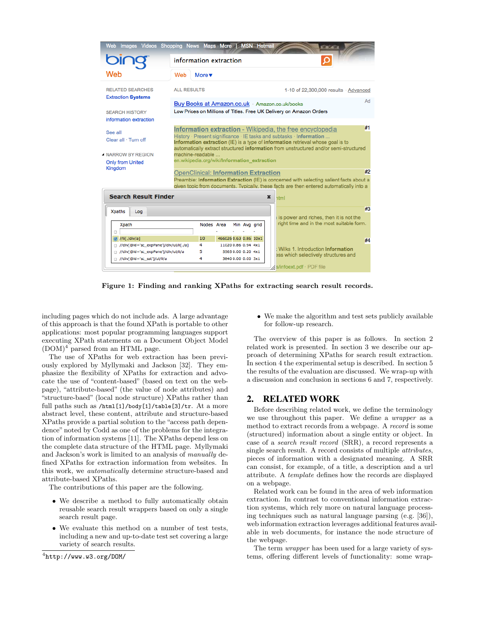

Figure 1: Finding and ranking XPaths for extracting search result records.

including pages which do not include ads. A large advantage of this approach is that the found XPath is portable to other applications: most popular programming languages support executing XPath statements on a Document Object Model  $(DOM)^4$  parsed from an HTML page.

The use of XPaths for web extraction has been previously explored by Myllymaki and Jackson [32]. They emphasize the flexibility of XPaths for extraction and advocate the use of "content-based" (based on text on the webpage), "attribute-based" (the value of node attributes) and "structure-baed" (local node structure) XPaths rather than full paths such as /html[1]/body[1]/table[3]/tr. At a more abstract level, these content, attribute and structure-based XPaths provide a partial solution to the "access path dependence" noted by Codd as one of the problems for the integration of information systems [11]. The XPaths depend less on the complete data structure of the HTML page. Myllymaki and Jackson's work is limited to an analysis of manually defined XPaths for extraction information from websites. In this work, we automatically determine structure-based and attribute-based XPaths.

The contributions of this paper are the following.

- We describe a method to fully automatically obtain reusable search result wrappers based on only a single search result page.
- We evaluate this method on a number of test tests, including a new and up-to-date test set covering a large variety of search results.

 $^4$ http://www.w3.org/DOM/

• We make the algorithm and test sets publicly available for follow-up research.

The overview of this paper is as follows. In section 2 related work is presented. In section 3 we describe our approach of determining XPaths for search result extraction. In section 4 the experimental setup is described. In section 5 the results of the evaluation are discussed. We wrap-up with a discussion and conclusion in sections 6 and 7, respectively.

# 2. RELATED WORK

Before describing related work, we define the terminology we use throughout this paper. We define a wrapper as a method to extract records from a webpage. A record is some (structured) information about a single entity or object. In case of a search result record (SRR), a record represents a single search result. A record consists of multiple attributes, pieces of information with a designated meaning. A SRR can consist, for example, of a title, a description and a url attribute. A template defines how the records are displayed on a webpage.

Related work can be found in the area of web information extraction. In contrast to conventional information extraction systems, which rely more on natural language processing techniques such as natural language parsing (e.g. [36]), web information extraction leverages additional features available in web documents, for instance the node structure of the webpage.

The term wrapper has been used for a large variety of systems, offering different levels of functionality: some wrap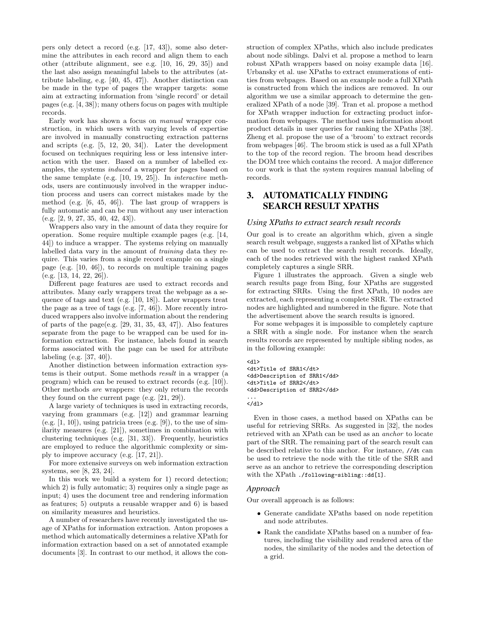pers only detect a record (e.g. [17, 43]), some also determine the attributes in each record and align them to each other (attribute alignment, see e.g. [10, 16, 29, 35]) and the last also assign meaningful labels to the attributes (attribute labeling, e.g. [40, 45, 47]). Another distinction can be made in the type of pages the wrapper targets: some aim at extracting information from 'single record' or detail pages (e.g. [4, 38]); many others focus on pages with multiple records.

Early work has shown a focus on manual wrapper construction, in which users with varying levels of expertise are involved in manually constructing extraction patterns and scripts (e.g. [5, 12, 20, 34]). Later the development focused on techniques requiring less or less intensive interaction with the user. Based on a number of labelled examples, the systems induced a wrapper for pages based on the same template (e.g. [10, 19, 25]). In interactive methods, users are continuously involved in the wrapper induction process and users can correct mistakes made by the method (e.g. [6, 45, 46]). The last group of wrappers is fully automatic and can be run without any user interaction (e.g. [2, 9, 27, 35, 40, 42, 43]).

Wrappers also vary in the amount of data they require for operation. Some require multiple example pages (e.g. [14, 44]) to induce a wrapper. The systems relying on manually labelled data vary in the amount of training data they require. This varies from a single record example on a single page (e.g. [10, 46]), to records on multiple training pages  $(e.g. [13, 14, 22, 26]).$ 

Different page features are used to extract records and attributes. Many early wrappers treat the webpage as a sequence of tags and text (e.g. [10, 18]). Later wrappers treat the page as a tree of tags (e.g. [7, 46]). More recently introduced wrappers also involve information about the rendering of parts of the page(e.g.  $[29, 31, 35, 43, 47]$ ). Also features separate from the page to be wrapped can be used for information extraction. For instance, labels found in search forms associated with the page can be used for attribute labeling (e.g. [37, 40]).

Another distinction between information extraction systems is their output. Some methods result in a wrapper (a program) which can be reused to extract records (e.g. [10]). Other methods are wrappers: they only return the records they found on the current page (e.g. [21, 29]).

A large variety of techniques is used in extracting records, varying from grammars (e.g. [12]) and grammar learning (e.g.  $[1, 10]$ ), using patricia trees (e.g.  $[9]$ ), to the use of similarity measures (e.g. [21]), sometimes in combination with clustering techniques (e.g. [31, 33]). Frequently, heuristics are employed to reduce the algorithmic complexity or simply to improve accuracy (e.g. [17, 21]).

For more extensive surveys on web information extraction systems, see [8, 23, 24].

In this work we build a system for 1) record detection; which 2) is fully automatic; 3) requires only a single page as input; 4) uses the document tree and rendering information as features; 5) outputs a reusable wrapper and 6) is based on similarity measures and heuristics.

A number of researchers have recently investigated the usage of XPaths for information extraction. Anton proposes a method which automatically determines a relative XPath for information extraction based on a set of annotated example documents [3]. In contrast to our method, it allows the construction of complex XPaths, which also include predicates about node siblings. Dalvi et al. propose a method to learn robust XPath wrappers based on noisy example data [16]. Urbansky et al. use XPaths to extract enumerations of entities from webpages. Based on an example node a full XPath is constructed from which the indices are removed. In our algorithm we use a similar approach to determine the generalized XPath of a node [39]. Tran et al. propose a method for XPath wrapper induction for extracting product information from webpages. The method uses information about product details in user queries for ranking the XPaths [38]. Zheng et al. propose the use of a 'broom' to extract records from webpages [46]. The broom stick is used as a full XPath to the top of the record region. The broom head describes the DOM tree which contains the record. A major difference to our work is that the system requires manual labeling of records.

# 3. AUTOMATICALLY FINDING SEARCH RESULT XPATHS

### *Using XPaths to extract search result records*

Our goal is to create an algorithm which, given a single search result webpage, suggests a ranked list of XPaths which can be used to extract the search result records. Ideally, each of the nodes retrieved with the highest ranked XPath completely captures a single SRR.

Figure 1 illustrates the approach. Given a single web search results page from Bing, four XPaths are suggested for extracting SRRs. Using the first XPath, 10 nodes are extracted, each representing a complete SRR. The extracted nodes are highlighted and numbered in the figure. Note that the advertisement above the search results is ignored.

For some webpages it is impossible to completely capture a SRR with a single node. For instance when the search results records are represented by multiple sibling nodes, as in the following example:

<dl> <dt>Title of SRR1</dt> <dd>Description of SRR1</dd> <dt>Title of SRR2</dt> <dd>Description of SRR2</dd> ...

</dl>

Even in those cases, a method based on XPaths can be useful for retrieving SRRs. As suggested in [32], the nodes retrieved with an XPath can be used as an anchor to locate part of the SRR. The remaining part of the search result can be described relative to this anchor. For instance, //dt can be used to retrieve the node with the title of the SRR and serve as an anchor to retrieve the corresponding description with the XPath ./following-sibling::dd[1].

## *Approach*

Our overall approach is as follows:

- Generate candidate XPaths based on node repetition and node attributes.
- Rank the candidate XPaths based on a number of features, including the visibility and rendered area of the nodes, the similarity of the nodes and the detection of a grid.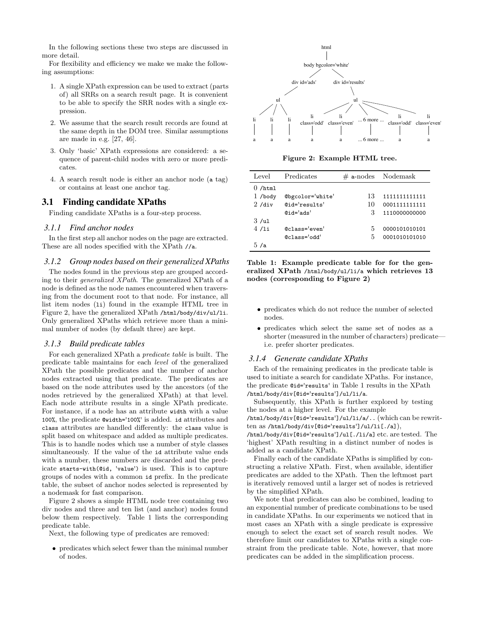In the following sections these two steps are discussed in more detail.

For flexibility and efficiency we make we make the following assumptions:

- 1. A single XPath expression can be used to extract (parts of) all SRRs on a search result page. It is convenient to be able to specify the SRR nodes with a single expression.
- 2. We assume that the search result records are found at the same depth in the DOM tree. Similar assumptions are made in e.g. [27, 46].
- 3. Only 'basic' XPath expressions are considered: a sequence of parent-child nodes with zero or more predicates.
- 4. A search result node is either an anchor node (a tag) or contains at least one anchor tag.

# 3.1 Finding candidate XPaths

Finding candidate XPaths is a four-step process.

#### *3.1.1 Find anchor nodes*

In the first step all anchor nodes on the page are extracted. These are all nodes specified with the XPath //a.

### *3.1.2 Group nodes based on their generalized XPaths*

The nodes found in the previous step are grouped according to their generalized XPath. The generalized XPath of a node is defined as the node names encountered when traversing from the document root to that node. For instance, all list item nodes (li) found in the example HTML tree in Figure 2, have the generalized XPath /html/body/div/ul/li. Only generalized XPaths which retrieve more than a minimal number of nodes (by default three) are kept.

#### *3.1.3 Build predicate tables*

For each generalized XPath a predicate table is built. The predicate table maintains for each level of the generalized XPath the possible predicates and the number of anchor nodes extracted using that predicate. The predicates are based on the node attributes used by the ancestors (of the nodes retrieved by the generalized XPath) at that level. Each node attribute results in a single XPath predicate. For instance, if a node has an attribute width with a value 100%, the predicate @width='100%' is added. id attributes and class attributes are handled differently: the class value is split based on whitespace and added as multiple predicates. This is to handle nodes which use a number of style classes simultaneously. If the value of the id attribute value ends with a number, these numbers are discarded and the predicate starts-with(@id, 'value') is used. This is to capture groups of nodes with a common id prefix. In the predicate table, the subset of anchor nodes selected is represented by a nodemask for fast comparison.

Figure 2 shows a simple HTML node tree containing two div nodes and three and ten list (and anchor) nodes found below them respectively. Table 1 lists the corresponding predicate table.

Next, the following type of predicates are removed:

• predicates which select fewer than the minimal number of nodes.



Figure 2: Example HTML tree.

| Level     | Predicates       |    | $\#$ a-nodes Nodemask |
|-----------|------------------|----|-----------------------|
| $0$ /html |                  |    |                       |
| $1$ /body | @bgcolor='white' | 13 | 1111111111111         |
| 2/div     | @id='results'    | 10 | 0001111111111         |
|           | $Qid='ads'$      | З  | 1110000000000         |
| 3/ul      |                  |    |                       |
| 4/1i      | @class='even'    | 5  | 0000101010101         |
|           | @class='odd'     | 5  | 0001010101010         |
| 5 /a      |                  |    |                       |

Table 1: Example predicate table for for the generalized XPath /html/body/ul/li/a which retrieves 13 nodes (corresponding to Figure 2)

- predicates which do not reduce the number of selected nodes.
- predicates which select the same set of nodes as a shorter (measured in the number of characters) predicate i.e. prefer shorter predicates.

#### *3.1.4 Generate candidate XPaths*

Each of the remaining predicates in the predicate table is used to initiate a search for candidate XPaths. For instance, the predicate @id='results' in Table 1 results in the XPath /html/body/div[@id='results']/ul/li/a.

Subsequently, this XPath is further explored by testing the nodes at a higher level. For the example

/html/body/div[@id='results']/ul/li/a/.. (which can be rewritten as /html/body/div[@id='results']/ul/li[./a]),

/html/body/div[@id='results']/ul[./li/a] etc. are tested. The 'highest' XPath resulting in a distinct number of nodes is added as a candidate XPath.

Finally each of the candidate XPaths is simplified by constructing a relative XPath. First, when available, identifier predicates are added to the XPath. Then the leftmost part is iteratively removed until a larger set of nodes is retrieved by the simplified XPath.

We note that predicates can also be combined, leading to an exponential number of predicate combinations to be used in candidate XPaths. In our experiments we noticed that in most cases an XPath with a single predicate is expressive enough to select the exact set of search result nodes. We therefore limit our candidates to XPaths with a single constraint from the predicate table. Note, however, that more predicates can be added in the simplification process.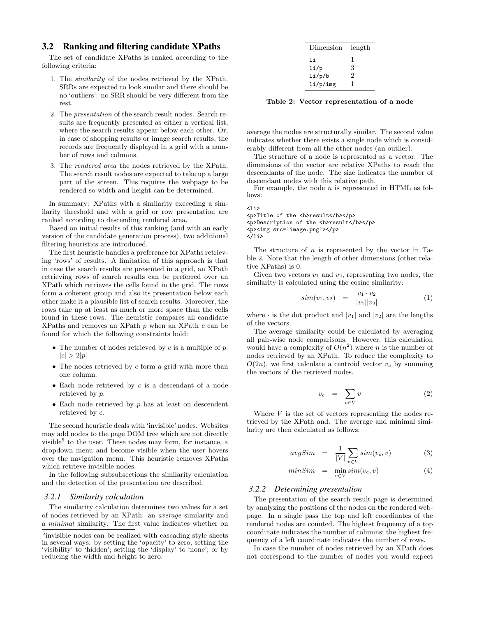### 3.2 Ranking and filtering candidate XPaths

The set of candidate XPaths is ranked according to the following criteria:

- 1. The similarity of the nodes retrieved by the XPath. SRRs are expected to look similar and there should be no 'outliers': no SRR should be very different from the rest.
- 2. The presentation of the search result nodes. Search results are frequently presented as either a vertical list, where the search results appear below each other. Or, in case of shopping results or image search results, the records are frequently displayed in a grid with a number of rows and columns.
- 3. The rendered area the nodes retrieved by the XPath. The search result nodes are expected to take up a large part of the screen. This requires the webpage to be rendered so width and height can be determined.

In summary: XPaths with a similarity exceeding a similarity threshold and with a grid or row presentation are ranked according to descending rendered area.

Based on initial results of this ranking (and with an early version of the candidate generation process), two additional filtering heuristics are introduced.

The first heuristic handles a preference for XPaths retrieving 'rows' of results. A limitation of this approach is that in case the search results are presented in a grid, an XPath retrieving rows of search results can be preferred over an XPath which retrieves the cells found in the grid. The rows form a coherent group and also its presentation below each other make it a plausible list of search results. Moreover, the rows take up at least as much or more space than the cells found in these rows. The heuristic compares all candidate XPaths and removes an XPath  $p$  when an XPath  $c$  can be found for which the following constraints hold:

- The number of nodes retrieved by  $c$  is a multiple of  $p$ .  $|c| > 2|p|$
- The nodes retrieved by  $c$  form a grid with more than one column.
- Each node retrieved by  $c$  is a descendant of a node retrieved by p.
- Each node retrieved by  $p$  has at least on descendent retrieved by c.

The second heuristic deals with 'invisible' nodes. Websites may add nodes to the page DOM tree which are not directly visible<sup>5</sup> to the user. These nodes may form, for instance, a dropdown menu and become visible when the user hovers over the navigation menu. This heuristic removes XPaths which retrieve invisible nodes.

In the following subsubsections the similarity calculation and the detection of the presentation are described.

#### *3.2.1 Similarity calculation*

The similarity calculation determines two values for a set of nodes retrieved by an XPath: an average similarity and a minimal similarity. The first value indicates whether on

| Dimension | length |
|-----------|--------|
| li        | ı      |
| 1i/p      | 3      |
| 1i/p/b    | 2      |
| li/p/img  | 1      |

Table 2: Vector representation of a node

average the nodes are structurally similar. The second value indicates whether there exists a single node which is considerably different from all the other nodes (an outlier).

The structure of a node is represented as a vector. The dimensions of the vector are relative XPaths to reach the descendants of the node. The size indicates the number of descendant nodes with this relative path.

For example, the node  $n$  is represented in HTML as follows:

 $\langle$ li> <p>Title of the <br/> <br/>>b>result</b></p> <p>Description of the <b>result</b></p> <p><img src='image.png'></p> </li>

The structure of  $n$  is represented by the vector in Table 2. Note that the length of other dimensions (other relative XPaths) is 0.

Given two vectors  $v_1$  and  $v_2$ , representing two nodes, the similarity is calculated using the cosine similarity:

$$
sim(v_1, v_2) = \frac{v_1 \cdot v_2}{|v_1||v_2|} \tag{1}
$$

where  $\cdot$  is the dot product and  $|v_1|$  and  $|v_2|$  are the lengths of the vectors.

The average similarity could be calculated by averaging all pair-wise node comparisons. However, this calculation would have a complexity of  $O(n^2)$  where n is the number of nodes retrieved by an XPath. To reduce the complexity to  $O(2n)$ , we first calculate a centroid vector  $v_c$  by summing the vectors of the retrieved nodes.

$$
v_c = \sum_{v \in V} v \tag{2}
$$

Where  $V$  is the set of vectors representing the nodes retrieved by the XPath and. The average and minimal similarity are then calculated as follows:

$$
avgSim = \frac{1}{|V|} \sum_{v \in V} sim(v_c, v) \tag{3}
$$

$$
minSim = \min_{v \in V} sim(v_c, v) \tag{4}
$$

#### *3.2.2 Determining presentation*

The presentation of the search result page is determined by analyzing the positions of the nodes on the rendered webpage. In a single pass the top and left coordinates of the rendered nodes are counted. The highest frequency of a top coordinate indicates the number of columns; the highest frequency of a left coordinate indicates the number of rows.

In case the number of nodes retrieved by an XPath does not correspond to the number of nodes you would expect

<sup>&</sup>lt;sup>5</sup> invisible nodes can be realized with cascading style sheets in several ways: by setting the 'opacity' to zero; setting the 'visibility' to 'hidden'; setting the 'display' to 'none'; or by reducing the width and height to zero.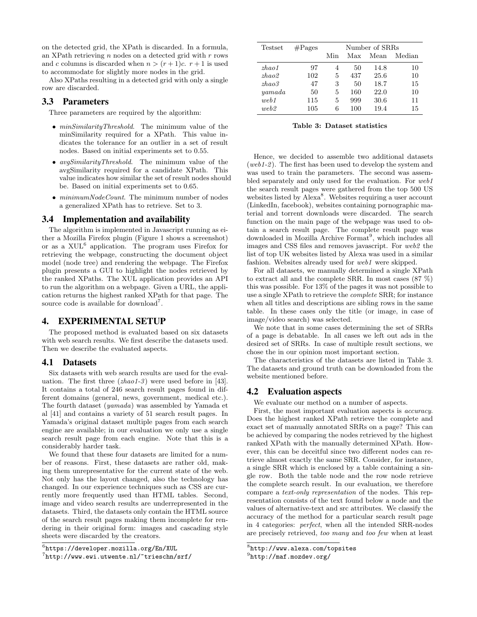on the detected grid, the XPath is discarded. In a formula, an XPath retrieving  $n$  nodes on a detected grid with  $r$  rows and c columns is discarded when  $n > (r+1)c$ .  $r+1$  is used to accommodate for slightly more nodes in the grid.

Also XPaths resulting in a detected grid with only a single row are discarded.

# 3.3 Parameters

Three parameters are required by the algorithm:

- *minSimilarityThreshold*. The minimum value of the minSimilarity required for a XPath. This value indicates the tolerance for an outlier in a set of result nodes. Based on initial experiments set to 0.55.
- *avgSimilarityThreshold*. The minimum value of the avgSimilarity required for a candidate XPath. This value indicates how similar the set of result nodes should be. Based on initial experiments set to 0.65.
- $\bullet$  minimumNodeCount. The minimum number of nodes a generalized XPath has to retrieve. Set to 3.

#### 3.4 Implementation and availability

The algorithm is implemented in Javascript running as either a Mozilla Firefox plugin (Figure 1 shows a screenshot) or as a XUL<sup>6</sup> application. The program uses Firefox for retrieving the webpage, constructing the document object model (node tree) and rendering the webpage. The Firefox plugin presents a GUI to highlight the nodes retrieved by the ranked XPaths. The XUL application provides an API to run the algorithm on a webpage. Given a URL, the application returns the highest ranked XPath for that page. The source code is available for download<sup>7</sup>.

# 4. EXPERIMENTAL SETUP

The proposed method is evaluated based on six datasets with web search results. We first describe the datasets used. Then we describe the evaluated aspects.

#### 4.1 Datasets

Six datasets with web search results are used for the evaluation. The first three  $(zhao1-3)$  were used before in [43]. It contains a total of 246 search result pages found in different domains (general, news, government, medical etc.). The fourth dataset (yamada) was assembled by Yamada et al [41] and contains a variety of 51 search result pages. In Yamada's original dataset multiple pages from each search engine are available; in our evaluation we only use a single search result page from each engine. Note that this is a considerably harder task.

We found that these four datasets are limited for a number of reasons. First, these datasets are rather old, making them unrepresentative for the current state of the web. Not only has the layout changed, also the technology has changed. In our experience techniques such as CSS are currently more frequently used than HTML tables. Second, image and video search results are underrepresented in the datasets. Third, the datasets only contain the HTML source of the search result pages making them incomplete for rendering in their original form: images and cascading style sheets were discarded by the creators.

| Testset | $\# \text{Pages}$ | Number of SRRs |     |      |        |  |  |
|---------|-------------------|----------------|-----|------|--------|--|--|
|         |                   | Min            | Max | Mean | Median |  |  |
| zhao1   | 97                | 4              | 50  | 14.8 | 10     |  |  |
| zhao2   | 102               | 5              | 437 | 25.6 | 10     |  |  |
| zhao3   | 47                | З              | 50  | 18.7 | 15     |  |  |
| yamada  | 50                | 5              | 160 | 22.0 | 10     |  |  |
| web1    | 115               | 5              | 999 | 30.6 | 11     |  |  |
| web2    | 105               | 6              | 100 | 19.4 | 15     |  |  |

#### Table 3: Dataset statistics

Hence, we decided to assemble two additional datasets (web1-2). The first has been used to develop the system and was used to train the parameters. The second was assembled separately and only used for the evaluation. For web1 the search result pages were gathered from the top 500 US websites listed by Alexa<sup>8</sup>. Websites requiring a user account (LinkedIn, facebook), websites containing pornographic material and torrent downloads were discarded. The search function on the main page of the webpage was used to obtain a search result page. The complete result page was downloaded in Mozilla Archive Format<sup>9</sup>, which includes all images and CSS files and removes javascript. For web2 the list of top UK websites listed by Alexa was used in a similar fashion. Websites already used for web1 were skipped.

For all datasets, we manually determined a single XPath to extract all and the complete SRR. In most cases (87 %) this was possible. For 13% of the pages it was not possible to use a single XPath to retrieve the complete SRR; for instance when all titles and descriptions are sibling rows in the same table. In these cases only the title (or image, in case of image/video search) was selected.

We note that in some cases determining the set of SRRs of a page is debatable. In all cases we left out ads in the desired set of SRRs. In case of multiple result sections, we chose the in our opinion most important section.

The characteristics of the datasets are listed in Table 3. The datasets and ground truth can be downloaded from the website mentioned before.

# 4.2 Evaluation aspects

We evaluate our method on a number of aspects.

First, the most important evaluation aspects is accuracy. Does the highest ranked XPath retrieve the complete and exact set of manually annotated SRRs on a page? This can be achieved by comparing the nodes retrieved by the highest ranked XPath with the manually determined XPath. However, this can be deceitful since two different nodes can retrieve almost exactly the same SRR. Consider, for instance, a single SRR which is enclosed by a table containing a single row. Both the table node and the row node retrieve the complete search result. In our evaluation, we therefore compare a text-only representation of the nodes. This representation consists of the text found below a node and the values of alternative-text and src attributes. We classify the accuracy of the method for a particular search result page in 4 categories: perfect, when all the intended SRR-nodes are precisely retrieved, too many and too few when at least

 $^6$ https://developer.mozilla.org/En/XUL

<sup>7</sup> http://www.ewi.utwente.nl/~trieschn/srf/

<sup>8</sup> http://www.alexa.com/topsites

 $^{9}$ http://maf.mozdev.org/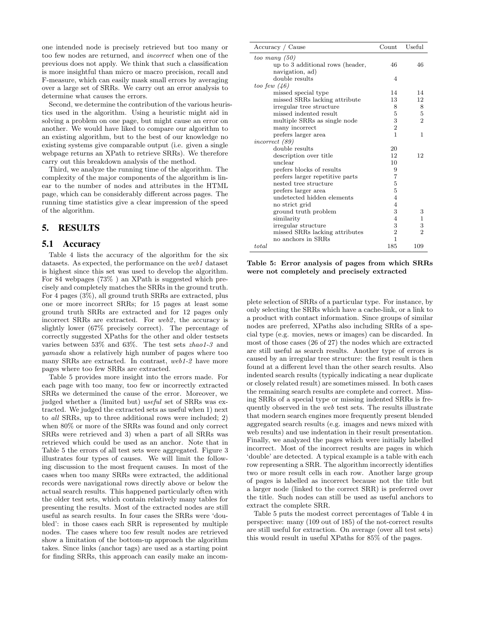one intended node is precisely retrieved but too many or too few nodes are returned, and incorrect when one of the previous does not apply. We think that such a classification is more insightful than micro or macro precision, recall and F-measure, which can easily mask small errors by averaging over a large set of SRRs. We carry out an error analysis to determine what causes the errors.

Second, we determine the contribution of the various heuristics used in the algorithm. Using a heuristic might aid in solving a problem on one page, but might cause an error on another. We would have liked to compare our algorithm to an existing algorithm, but to the best of our knowledge no existing systems give comparable output (i.e. given a single webpage returns an XPath to retrieve SRRs). We therefore carry out this breakdown analysis of the method.

Third, we analyze the running time of the algorithm. The complexity of the major components of the algorithm is linear to the number of nodes and attributes in the HTML page, which can be considerably different across pages. The running time statistics give a clear impression of the speed of the algorithm.

# 5. RESULTS

### 5.1 Accuracy

Table 4 lists the accuracy of the algorithm for the six datasets. As expected, the performance on the web1 dataset is highest since this set was used to develop the algorithm. For 84 webpages (73% ) an XPath is suggested which precisely and completely matches the SRRs in the ground truth. For 4 pages (3%), all ground truth SRRs are extracted, plus one or more incorrect SRRs; for 15 pages at least some ground truth SRRs are extracted and for 12 pages only incorrect SRRs are extracted. For web2, the accuracy is slightly lower (67% precisely correct). The percentage of correctly suggested XPaths for the other and older testsets varies between 53% and 63%. The test sets zhao1-3 and yamada show a relatively high number of pages where too many SRRs are extracted. In contrast, web1-2 have more pages where too few SRRs are extracted.

Table 5 provides more insight into the errors made. For each page with too many, too few or incorrectly extracted SRRs we determined the cause of the error. Moreover, we judged whether a (limited but) useful set of SRRs was extracted. We judged the extracted sets as useful when 1) next to all SRRs, up to three additional rows were included; 2) when 80% or more of the SRRs was found and only correct SRRs were retrieved and 3) when a part of all SRRs was retrieved which could be used as an anchor. Note that in Table 5 the errors of all test sets were aggregated. Figure 3 illustrates four types of causes. We will limit the following discussion to the most frequent causes. In most of the cases when too many SRRs were extracted, the additional records were navigational rows directly above or below the actual search results. This happened particularly often with the older test sets, which contain relatively many tables for presenting the results. Most of the extracted nodes are still useful as search results. In four cases the SRRs were 'doubled': in those cases each SRR is represented by multiple nodes. The cases where too few result nodes are retrieved show a limitation of the bottom-up approach the algorithm takes. Since links (anchor tags) are used as a starting point for finding SRRs, this approach can easily make an incom-

| Accuracy / Cause                 | $\mathrm{Count}$ | Useful         |
|----------------------------------|------------------|----------------|
| too many $(50)$                  |                  |                |
| up to 3 additional rows (header, | 46               | 46             |
| navigation, ad)                  |                  |                |
| double results                   | $\overline{4}$   |                |
| too few $(46)$                   |                  |                |
| missed special type              | 14               | 14             |
| missed SRRs lacking attribute    | 13               | 12             |
| irregular tree structure         | 8                | 8              |
| missed indented result           | 5                | $\overline{5}$ |
| multiple SRRs as single node     | 3                | $\overline{2}$ |
| many incorrect                   | $\overline{2}$   |                |
| prefers larger area              | 1                | 1              |
| incorrect (89)                   |                  |                |
| double results                   | 20               |                |
| description over title           | 12               | 12             |
| unclear                          | 10               |                |
| prefers blocks of results        | 9                |                |
| prefers larger repetitive parts  | 7                |                |
| nested tree structure            | $\overline{5}$   |                |
| prefers larger area              | 5                |                |
| undetected hidden elements       | 4                |                |
| no strict grid                   | 4                |                |
| ground truth problem             | 3                | 3              |
| similarity                       | 4                | 1              |
| irregular structure              | 3                | 3              |
| missed SRRs lacking attributes   | $\overline{2}$   | $\mathcal{D}$  |
| no anchors in SRRs               | 1                |                |
| total                            | 185              | 109            |

Table 5: Error analysis of pages from which SRRs were not completely and precisely extracted

plete selection of SRRs of a particular type. For instance, by only selecting the SRRs which have a cache-link, or a link to a product with contact information. Since groups of similar nodes are preferred, XPaths also including SRRs of a special type (e.g. movies, news or images) can be discarded. In most of those cases (26 of 27) the nodes which are extracted are still useful as search results. Another type of errors is caused by an irregular tree structure: the first result is then found at a different level than the other search results. Also indented search results (typically indicating a near duplicate or closely related result) are sometimes missed. In both cases the remaining search results are complete and correct. Missing SRRs of a special type or missing indented SRRs is frequently observed in the web test sets. The results illustrate that modern search engines more frequently present blended aggregated search results (e.g. images and news mixed with web results) and use indentation in their result presentation. Finally, we analyzed the pages which were initially labelled incorrect. Most of the incorrect results are pages in which 'double' are detected. A typical example is a table with each row representing a SRR. The algorithm incorrectly identifies two or more result cells in each row. Another large group of pages is labelled as incorrect because not the title but a larger node (linked to the correct SRR) is preferred over the title. Such nodes can still be used as useful anchors to extract the complete SRR.

Table 5 puts the modest correct percentages of Table 4 in perspective: many (109 out of 185) of the not-correct results are still useful for extraction. On average (over all test sets) this would result in useful XPaths for 85% of the pages.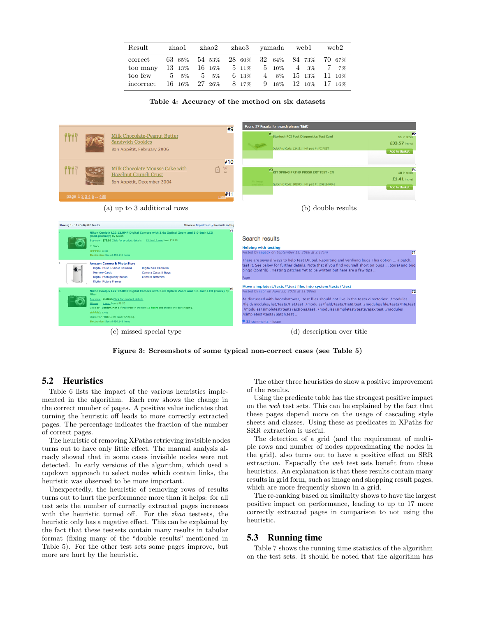| Result                                                                                                                                                                                               |  | zhaol zhao2 zhao3 vamada web1 web2 |  |
|------------------------------------------------------------------------------------------------------------------------------------------------------------------------------------------------------|--|------------------------------------|--|
| correct 63 65% 54 53% 28 60% 32 64% 84 73% 70 67%<br>too many 13 13% 16 16% 5 11% 5 10% 4 3% 7 7%<br>too few 5 5% 5 5% 6 13% 4 8% 15 13% 11 10%<br>incorrect 16 16% 27 26% 8 17% 9 18% 12 10% 17 16% |  |                                    |  |

|  | Table 4: Accuracy of the method on six datasets |  |  |  |  |  |
|--|-------------------------------------------------|--|--|--|--|--|
|--|-------------------------------------------------|--|--|--|--|--|



Figure 3: Screenshots of some typical non-correct cases (see Table 5)

# 5.2 Heuristics

Table 6 lists the impact of the various heuristics implemented in the algorithm. Each row shows the change in the correct number of pages. A positive value indicates that turning the heuristic off leads to more correctly extracted pages. The percentage indicates the fraction of the number of correct pages.

The heuristic of removing XPaths retrieving invisible nodes turns out to have only little effect. The manual analysis already showed that in some cases invisible nodes were not detected. In early versions of the algorithm, which used a topdown approach to select nodes which contain links, the heuristic was observed to be more important.

Unexpectedly, the heuristic of removing rows of results turns out to hurt the performance more than it helps: for all test sets the number of correctly extracted pages increases with the heuristic turned off. For the zhao testsets, the heuristic only has a negative effect. This can be explained by the fact that these testsets contain many results in tabular format (fixing many of the "double results" mentioned in Table 5). For the other test sets some pages improve, but more are hurt by the heuristic.

The other three heuristics do show a positive improvement of the results.

Using the predicate table has the strongest positive impact on the web test sets. This can be explained by the fact that these pages depend more on the usage of cascading style sheets and classes. Using these as predicates in XPaths for SRR extraction is useful.

The detection of a grid (and the requirement of multiple rows and number of nodes approximating the nodes in the grid), also turns out to have a positive effect on SRR extraction. Especially the web test sets benefit from these heuristics. An explanation is that these results contain many results in grid form, such as image and shopping result pages, which are more frequently shown in a grid.

The re-ranking based on similarity shows to have the largest positive impact on performance, leading to up to 17 more correctly extracted pages in comparison to not using the heuristic.

#### 5.3 Running time

Table 7 shows the running time statistics of the algorithm on the test sets. It should be noted that the algorithm has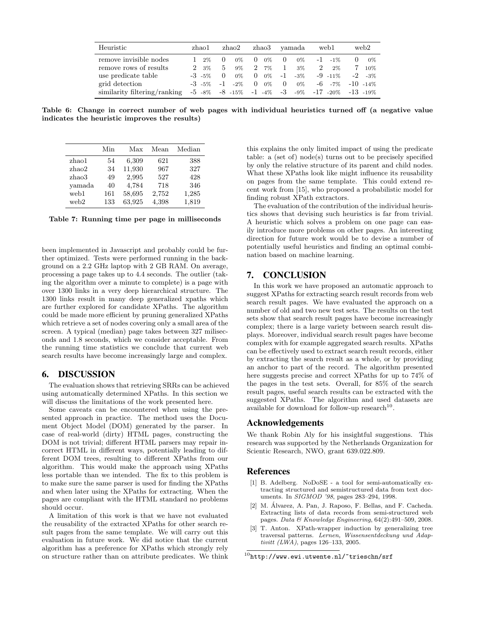| Heuristic                    | zhao1                    | zhao2                                |                                      | zhao3 vamada      | web1                               | web2               |
|------------------------------|--------------------------|--------------------------------------|--------------------------------------|-------------------|------------------------------------|--------------------|
| remove invisible nodes       | 2%                       | $0\%$<br>$\left( \right)$            | $0\%$<br>$\theta$                    | $\Omega$<br>$0\%$ | $-1$ $-1\%$                        | $-0\%$<br>$\theta$ |
| remove rows of results       | $3\%$<br>$\mathcal{P}^-$ | 9%<br>5.                             | $7\%$<br>$\mathcal{D}_{\mathcal{L}}$ | 1<br>$3\%$        | 2<br>$2\%$                         | 10%                |
| use predicate table          | $-3 - 5\%$               | $0\%$<br>$\theta$                    | $0\%$<br>$\theta$                    | $-1$<br>$-3\%$    | $-9$ $-11\%$                       | $-2 - 3\%$         |
| grid detection               | $-3$ $-5\%$              | $-2\%$<br>$-1$                       | $0\%$<br>$\Omega$                    | $\Omega$<br>$0\%$ | $-6 - 7\%$                         | $-10 - 14\%$       |
| similarity filtering/ranking |                          | $-5$ $-8\%$ $-8$ $-15\%$ $-1$ $-4\%$ |                                      | $\sim$ -3 $\sim$  | $-9\%$ $-17$ $-20\%$ $-13$ $-19\%$ |                    |

Table 6: Change in correct number of web pages with individual heuristics turned off (a negative value indicates the heuristic improves the results)

|        | Min | Max    | Mean  | Median |
|--------|-----|--------|-------|--------|
| zhao1  | 54  | 6,309  | 621   | 388    |
| zhao2  | 34  | 11,930 | 967   | 327    |
| zhao3  | 49  | 2,995  | 527   | 428    |
| vamada | 40  | 4,784  | 718   | 346    |
| web1   | 161 | 58,695 | 2,752 | 1,285  |
| web2   | 133 | 63,925 | 4,398 | 1,819  |

Table 7: Running time per page in milliseconds

been implemented in Javascript and probably could be further optimized. Tests were performed running in the background on a 2.2 GHz laptop with 2 GB RAM. On average, processing a page takes up to 4.4 seconds. The outlier (taking the algorithm over a minute to complete) is a page with over 1300 links in a very deep hierarchical structure. The 1300 links result in many deep generalized xpaths which are further explored for candidate XPaths. The algorithm could be made more efficient by pruning generalized XPaths which retrieve a set of nodes covering only a small area of the screen. A typical (median) page takes between 327 miliseconds and 1.8 seconds, which we consider acceptable. From the running time statistics we conclude that current web search results have become increasingly large and complex.

### 6. DISCUSSION

The evaluation shows that retrieving SRRs can be achieved using automatically determined XPaths. In this section we will discuss the limitations of the work presented here.

Some caveats can be encountered when using the presented approach in practice. The method uses the Document Object Model (DOM) generated by the parser. In case of real-world (dirty) HTML pages, constructing the DOM is not trivial; different HTML parsers may repair incorrect HTML in different ways, potentially leading to different DOM trees, resulting to different XPaths from our algorithm. This would make the approach using XPaths less portable than we intended. The fix to this problem is to make sure the same parser is used for finding the XPaths and when later using the XPaths for extracting. When the pages are compliant with the HTML standard no problems should occur.

A limitation of this work is that we have not evaluated the reusability of the extracted XPaths for other search result pages from the same template. We will carry out this evaluation in future work. We did notice that the current algorithm has a preference for XPaths which strongly rely on structure rather than on attribute predicates. We think this explains the only limited impact of using the predicate table: a (set of) node(s) turns out to be precisely specified by only the relative structure of its parent and child nodes. What these XPaths look like might influence its reusability on pages from the same template. This could extend recent work from [15], who proposed a probabilistic model for finding robust XPath extractors.

The evaluation of the contribution of the individual heuristics shows that devising such heuristics is far from trivial. A heuristic which solves a problem on one page can easily introduce more problems on other pages. An interesting direction for future work would be to devise a number of potentially useful heuristics and finding an optimal combination based on machine learning.

# 7. CONCLUSION

In this work we have proposed an automatic approach to suggest XPaths for extracting search result records from web search result pages. We have evaluated the approach on a number of old and two new test sets. The results on the test sets show that search result pages have become increasingly complex; there is a large variety between search result displays. Moreover, individual search result pages have become complex with for example aggregated search results. XPaths can be effectively used to extract search result records, either by extracting the search result as a whole, or by providing an anchor to part of the record. The algorithm presented here suggests precise and correct XPaths for up to 74% of the pages in the test sets. Overall, for 85% of the search result pages, useful search results can be extracted with the suggested XPaths. The algorithm and used datasets are available for download for follow-up research<sup>10</sup>.

### Acknowledgements

We thank Robin Aly for his insightful suggestions. This research was supported by the Netherlands Organization for Scientic Research, NWO, grant 639.022.809.

### References

- [1] B. Adelberg. NoDoSE a tool for semi-automatically extracting structured and semistructured data from text documents. In SIGMOD '98, pages 283–294, 1998.
- [2] M. Álvarez, A. Pan, J. Raposo, F. Bellas, and F. Cacheda. Extracting lists of data records from semi-structured web pages. Data & Knowledge Engineering,  $64(2):491-509$ ,  $2008$ .
- [3] T. Anton. XPath-wrapper induction by generalizing tree traversal patterns. Lernen, Wissensentdeckung und Adaptivitt (LWA), pages 126–133, 2005.

 $^{10}$ http://www.ewi.utwente.nl/~trieschn/srf